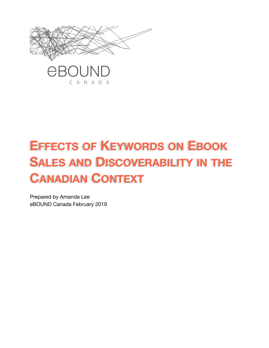

# **EFFECTS OF KEYWORDS ON EBOOK SALES AND DISCOVERABILITY IN THE CANADIAN CONTEXT**

Prepared by Amanda Lee eBOUND Canada February 2019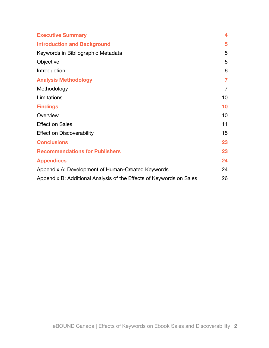| <b>Executive Summary</b>                                            | 4              |
|---------------------------------------------------------------------|----------------|
| <b>Introduction and Background</b>                                  | 5              |
| Keywords in Bibliographic Metadata                                  | 5              |
| Objective                                                           | 5              |
| Introduction                                                        | 6              |
| <b>Analysis Methodology</b>                                         | $\overline{7}$ |
| Methodology                                                         | $\overline{7}$ |
| Limitations                                                         | 10             |
| <b>Findings</b>                                                     | 10             |
| Overview                                                            | 10             |
| <b>Effect on Sales</b>                                              | 11             |
| <b>Effect on Discoverability</b>                                    | 15             |
| <b>Conclusions</b>                                                  | 23             |
| <b>Recommendations for Publishers</b>                               | 23             |
| <b>Appendices</b>                                                   | 24             |
| Appendix A: Development of Human-Created Keywords                   | 24             |
| Appendix B: Additional Analysis of the Effects of Keywords on Sales | 26             |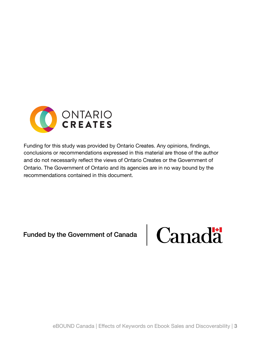

Funding for this study was provided by Ontario Creates. Any opinions, findings, conclusions or recommendations expressed in this material are those of the author and do not necessarily reflect the views of Ontario Creates or the Government of Ontario. The Government of Ontario and its agencies are in no way bound by the recommendations contained in this document.

Funded by the Government of Canada

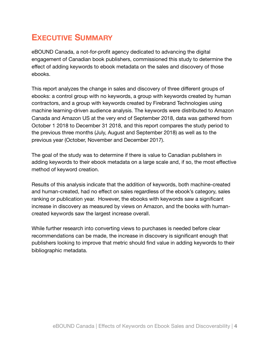# <span id="page-3-0"></span>**EXECUTIVE SUMMARY**

eBOUND Canada, a not-for-profit agency dedicated to advancing the digital engagement of Canadian book publishers, commissioned this study to determine the effect of adding keywords to ebook metadata on the sales and discovery of those ebooks.

This report analyzes the change in sales and discovery of three different groups of ebooks: a control group with no keywords, a group with keywords created by human contractors, and a group with keywords created by Firebrand Technologies using machine learning-driven audience analysis. The keywords were distributed to Amazon Canada and Amazon US at the very end of September 2018, data was gathered from October 1 2018 to December 31 2018, and this report compares the study period to the previous three months (July, August and September 2018) as well as to the previous year (October, November and December 2017).

The goal of the study was to determine if there is value to Canadian publishers in adding keywords to their ebook metadata on a large scale and, if so, the most effective method of keyword creation.

Results of this analysis indicate that the addition of keywords, both machine-created and human-created, had no effect on sales regardless of the ebook's category, sales ranking or publication year. However, the ebooks with keywords saw a significant increase in discovery as measured by views on Amazon, and the books with humancreated keywords saw the largest increase overall.

While further research into converting views to purchases is needed before clear recommendations can be made, the increase in discovery is significant enough that publishers looking to improve that metric should find value in adding keywords to their bibliographic metadata.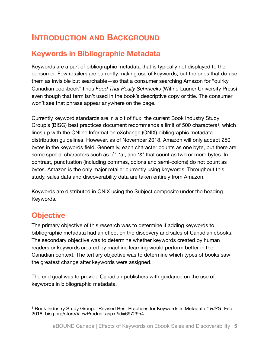# <span id="page-4-0"></span>**INTRODUCTION AND BACKGROUND**

### <span id="page-4-1"></span>**Keywords in Bibliographic Metadata**

Keywords are a part of bibliographic metadata that is typically not displayed to the consumer. Few retailers are currently making use of keywords, but the ones that do use them as invisible but searchable—so that a consumer searching Amazon for "quirky Canadian cookbook" finds *Food That Really Schmecks* (Wilfrid Laurier University Press) even though that term isn't used in the book's descriptive copy or title. The consumer won't see that phrase appear anywhere on the page.

<span id="page-4-4"></span>Currently keyword standards are in a bit of flux: the current Book Industry Study Group's (BISG) best practices document recommends a limit of 500 characters<sup>[1](#page-4-3)</sup>, which lines up with the ONline Information eXchange (ONIX) bibliographic metadata distribution guidelines. However, as of November 2018, Amazon will only accept 250 bytes in the keywords field. Generally, each character counts as one byte, but there are some special characters such as 'é', 'ä', and '&' that count as two or more bytes. In contrast, punctuation (including commas, colons and semi-colons) do not count as bytes. Amazon is the only major retailer currently using keywords. Throughout this study, sales data and discoverability data are taken entirely from Amazon.

Keywords are distributed in ONIX using the Subject composite under the heading Keywords.

### <span id="page-4-2"></span>**Objective**

The primary objective of this research was to determine if adding keywords to bibliographic metadata had an effect on the discovery and sales of Canadian ebooks. The secondary objective was to determine whether keywords created by human readers or keywords created by machine learning would perform better in the Canadian context. The tertiary objective was to determine which types of books saw the greatest change after keywords were assigned.

The end goal was to provide Canadian publishers with guidance on the use of keywords in bibliographic metadata.

<span id="page-4-3"></span><sup>&</sup>lt;sup>[1](#page-4-4)</sup> Book Industry Study Group. "Revised Best Practices for Keywords in Metadata." *BISG*, Feb. 2018, bisg.org/store/ViewProduct.aspx?id=6972954.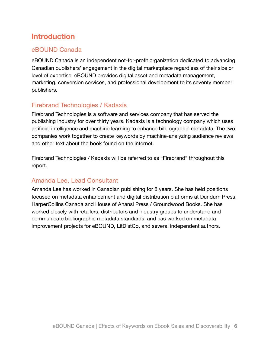# <span id="page-5-0"></span>**Introduction**

### eBOUND Canada

eBOUND Canada is an independent not-for-profit organization dedicated to advancing Canadian publishers' engagement in the digital marketplace regardless of their size or level of expertise. eBOUND provides digital asset and metadata management, marketing, conversion services, and professional development to its seventy member publishers.

### Firebrand Technologies / Kadaxis

Firebrand Technologies is a software and services company that has served the publishing industry for over thirty years. Kadaxis is a technology company which uses artificial intelligence and machine learning to enhance bibliographic metadata. The two companies work together to create keywords by machine-analyzing audience reviews and other text about the book found on the internet.

Firebrand Technologies / Kadaxis will be referred to as "Firebrand" throughout this report.

### Amanda Lee, Lead Consultant

Amanda Lee has worked in Canadian publishing for 8 years. She has held positions focused on metadata enhancement and digital distribution platforms at Dundurn Press, HarperCollins Canada and House of Anansi Press / Groundwood Books. She has worked closely with retailers, distributors and industry groups to understand and communicate bibliographic metadata standards, and has worked on metadata improvement projects for eBOUND, LitDistCo, and several independent authors.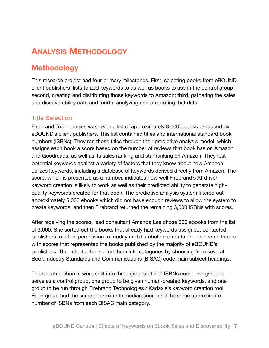# <span id="page-6-0"></span>**ANALYSIS METHODOLOGY**

# <span id="page-6-1"></span>**Methodology**

This research project had four primary milestones. First, selecting books from eBOUND client publishers' lists to add keywords to as well as books to use in the control group; second, creating and distributing those keywords to Amazon; third, gathering the sales and discoverability data and fourth, analyzing and presenting that data.

### Title Selection

Firebrand Technologies was given a list of approximately 8,000 ebooks produced by eBOUND's client publishers. This list contained titles and international standard book numbers (ISBNs). They ran those titles through their predictive analysis model, which assigns each book a score based on the number of reviews that book has on Amazon and Goodreads, as well as its sales ranking and star ranking on Amazon. They test potential keywords against a variety of factors that they know about how Amazon utilizes keywords, including a database of keywords derived directly from Amazon. The score, which is presented as a number, indicates how well Firebrand's AI-driven keyword creation is likely to work as well as their predicted ability to generate highquality keywords created for that book. The predictive analysis system filtered out approximately 5,000 ebooks which did not have enough reviews to allow the system to create keywords, and then Firebrand returned the remaining 3,000 ISBNs with scores.

After receiving the scores, lead consultant Amanda Lee chose 600 ebooks from the list of 3,000. She sorted out the books that already had keywords assigned, contacted publishers to attain permission to modify and distribute metadata, then selected books with scores that represented the books published by the majority of eBOUND's publishers. Then she further sorted them into categories by choosing from several Book Industry Standards and Communications (BISAC) code main subject headings.

The selected ebooks were split into three groups of 200 ISBNs each: one group to serve as a control group, one group to be given human-created keywords, and one group to be run through Firebrand Technologies / Kadaxis's keyword creation tool. Each group had the same approximate median score and the same approximate number of ISBNs from each BISAC main category.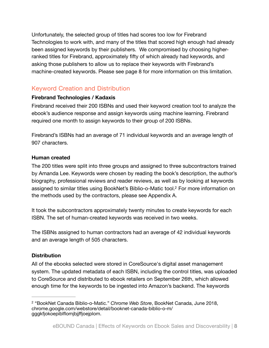Unfortunately, the selected group of titles had scores too low for Firebrand Technologies to work with, and many of the titles that scored high enough had already been assigned keywords by their publishers. We compromised by choosing higherranked titles for Firebrand, approximately fifty of which already had keywords, and asking those publishers to allow us to replace their keywords with Firebrand's machine-created keywords. Please see page 8 for more information on this limitation.

### Keyword Creation and Distribution

### **Firebrand Technologies / Kadaxis**

Firebrand received their 200 ISBNs and used their keyword creation tool to analyze the ebook's audience response and assign keywords using machine learning. Firebrand required one month to assign keywords to their group of 200 ISBNs.

Firebrand's ISBNs had an average of 71 individual keywords and an average length of 907 characters.

#### **Human created**

The 200 titles were split into three groups and assigned to three subcontractors trained by Amanda Lee. Keywords were chosen by reading the book's description, the author's biography, professional reviews and reader reviews, as well as by looking at keywords assigned to similar titles using BookNet's Biblio-o-Matic tool.<sup>[2](#page-7-0)</sup> For more information on the methods used by the contractors, please see Appendix A.

<span id="page-7-1"></span>It took the subcontractors approximately twenty minutes to create keywords for each ISBN. The set of human-created keywords was received in two weeks.

The ISBNs assigned to human contractors had an average of 42 individual keywords and an average length of 505 characters.

### **Distribution**

All of the ebooks selected were stored in CoreSource's digital asset management system. The updated metadata of each ISBN, including the control titles, was uploaded to CoreSource and distributed to ebook retailers on September 26th, which allowed enough time for the keywords to be ingested into Amazon's backend. The keywords

<span id="page-7-0"></span><sup>&</sup>lt;sup>[2](#page-7-1)</sup> "BookNet Canada Biblio-o-Matic." *Chrome Web Store*, BookNet Canada, June 2018, chrome.google.com/webstore/detail/booknet-canada-biblio-o-m/ gggkfjokoepiblflomjbjjffjoejplom.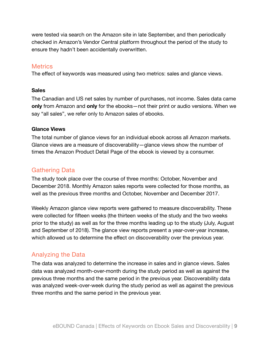were tested via search on the Amazon site in late September, and then periodically checked in Amazon's Vendor Central platform throughout the period of the study to ensure they hadn't been accidentally overwritten.

#### **Metrics**

The effect of keywords was measured using two metrics: sales and glance views.

#### **Sales**

The Canadian and US net sales by number of purchases, not income. Sales data came **only** from Amazon and **only** for the ebooks—not their print or audio versions. When we say "all sales", we refer only to Amazon sales of ebooks.

#### **Glance Views**

The total number of glance views for an individual ebook across all Amazon markets. Glance views are a measure of discoverability—glance views show the number of times the Amazon Product Detail Page of the ebook is viewed by a consumer.

### Gathering Data

The study took place over the course of three months: October, November and December 2018. Monthly Amazon sales reports were collected for those months, as well as the previous three months and October, November and December 2017.

Weekly Amazon glance view reports were gathered to measure discoverability. These were collected for fifteen weeks (the thirteen weeks of the study and the two weeks prior to the study) as well as for the three months leading up to the study (July, August and September of 2018). The glance view reports present a year-over-year increase, which allowed us to determine the effect on discoverability over the previous year.

### Analyzing the Data

The data was analyzed to determine the increase in sales and in glance views. Sales data was analyzed month-over-month during the study period as well as against the previous three months and the same period in the previous year. Discoverability data was analyzed week-over-week during the study period as well as against the previous three months and the same period in the previous year.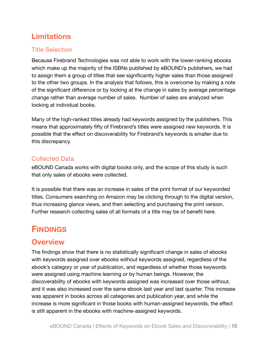# <span id="page-9-0"></span>**Limitations**

### Title Selection

Because Firebrand Technologies was not able to work with the lower-ranking ebooks which make up the majority of the ISBNs published by eBOUND's publishers, we had to assign them a group of titles that see significantly higher sales than those assigned to the other two groups. In the analysis that follows, this is overcome by making a note of the significant difference or by looking at the change in sales by average percentage change rather than average number of sales. Number of sales are analyzed when looking at individual books.

Many of the high-ranked titles already had keywords assigned by the publishers. This means that approximately fifty of Firebrand's titles were assigned new keywords. It is possible that the effect on discoverability for Firebrand's keywords is smaller due to this discrepancy.

### Collected Data

eBOUND Canada works with digital books only, and the scope of this study is such that only sales of ebooks were collected.

It is possible that there was an increase in sales of the print format of our keyworded titles. Consumers searching on Amazon may be clicking through to the digital version, thus increasing glance views, and then selecting and purchasing the print version. Further research collecting sales of all formats of a title may be of benefit here.

# <span id="page-9-1"></span>**FINDINGS**

### <span id="page-9-2"></span>**Overview**

The findings show that there is no statistically significant change in sales of ebooks with keywords assigned over ebooks without keywords assigned, regardless of the ebook's category or year of publication, and regardless of whether those keywords were assigned using machine learning or by human beings. However, the discoverability of ebooks with keywords assigned was increased over those without, and it was also increased over the same ebook last year and last quarter. This increase was apparent in books across all categories and publication year, and while the increase is more significant in those books with human-assigned keywords, the effect is still apparent in the ebooks with machine-assigned keywords.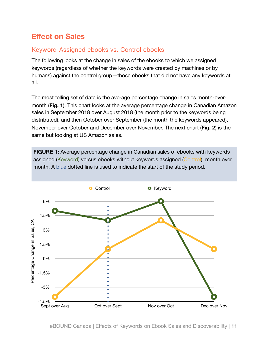# <span id="page-10-0"></span>**Effect on Sales**

### Keyword-Assigned ebooks vs. Control ebooks

The following looks at the change in sales of the ebooks to which we assigned keywords (regardless of whether the keywords were created by machines or by humans) against the control group—those ebooks that did not have any keywords at all.

The most telling set of data is the average percentage change in sales month-overmonth (**Fig. 1**). This chart looks at the average percentage change in Canadian Amazon sales in September 2018 over August 2018 (the month prior to the keywords being distributed), and then October over September (the month the keywords appeared), November over October and December over November. The next chart (**Fig. 2**) is the same but looking at US Amazon sales.

**FIGURE 1:** Average percentage change in Canadian sales of ebooks with keywords assigned (Keyword) versus ebooks without keywords assigned (Control), month over month. A blue dotted line is used to indicate the start of the study period.

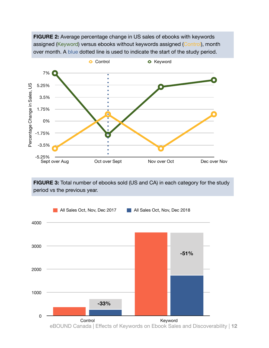



**FIGURE 3:** Total number of ebooks sold (US and CA) in each category for the study period vs the previous year.

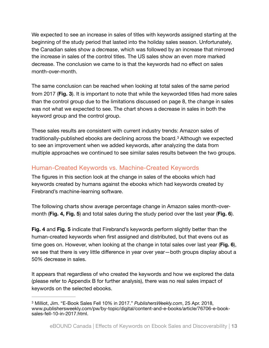We expected to see an increase in sales of titles with keywords assigned starting at the beginning of the study period that lasted into the holiday sales season. Unfortunately, the Canadian sales show a *decrease*, which was followed by an increase that mirrored the increase in sales of the control titles. The US sales show an even more marked decrease. The conclusion we came to is that the keywords had no effect on sales month-over-month.

The same conclusion can be reached when looking at total sales of the same period from 2017 (**Fig. 3**). It is important to note that while the keyworded titles had more sales than the control group due to the limitations discussed on page 8, the change in sales was not what we expected to see. The chart shows a decrease in sales in both the keyword group and the control group.

<span id="page-12-1"></span>These sales results are consistent with current industry trends: Amazon sales of traditionally-publishedebooks are declining across the board.<sup>[3](#page-12-0)</sup> Although we expected to see an improvement when we added keywords, after analyzing the data from multiple approaches we continued to see similar sales results between the two groups.

### Human-Created Keywords vs. Machine-Created Keywords

The figures in this section look at the change in sales of the ebooks which had keywords created by humans against the ebooks which had keywords created by Firebrand's machine-learning software.

The following charts show average percentage change in Amazon sales month-overmonth (**Fig. 4, Fig. 5**) and total sales during the study period over the last year (**Fig. 6**).

**Fig. 4** and **Fig. 5** indicate that Firebrand's keywords perform slightly better than the human-created keywords when first assigned and distributed, but that evens out as time goes on. However, when looking at the change in total sales over last year (**Fig. 6**), we see that there is very little difference in year over year—both groups display about a 50% decrease in sales.

It appears that regardless of who created the keywords and how we explored the data (please refer to Appendix B for further analysis), there was no real sales impact of keywords on the selected ebooks.

<span id="page-12-0"></span>Milliot, Jim. "E-Book Sales Fell 10% in 2017." *PublishersWeekly.com*, 25 Apr. 2018, [3](#page-12-1) www.publishersweekly.com/pw/by-topic/digital/content-and-e-books/article/76706-e-booksales-fell-10-in-2017.html.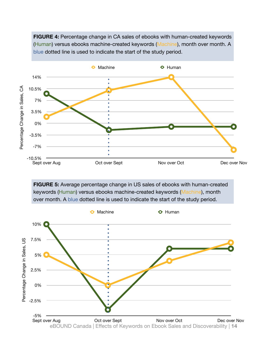**FIGURE 4:** Percentage change in CA sales of ebooks with human-created keywords (Human) versus ebooks machine-created keywords (Machine), month over month. A blue dotted line is used to indicate the start of the study period.



**FIGURE 5:** Average percentage change in US sales of ebooks with human-created keywords (Human) versus ebooks machine-created keywords (Machine), month over month. A blue dotted line is used to indicate the start of the study period.

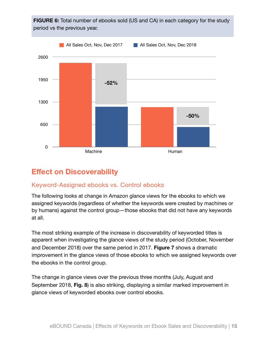

# <span id="page-14-0"></span>**Effect on Discoverability**

### Keyword-Assigned ebooks vs. Control ebooks

The following looks at change in Amazon glance views for the ebooks to which we assigned keywords (regardless of whether the keywords were created by machines or by humans) against the control group—those ebooks that did not have any keywords at all.

The most striking example of the increase in discoverability of keyworded titles is apparent when investigating the glance views of the study period (October, November and December 2018) over the same period in 2017. **Figure 7** shows a dramatic improvement in the glance views of those ebooks to which we assigned keywords over the ebooks in the control group.

The change in glance views over the previous three months (July, August and September 2018, **Fig. 8**) is also striking, displaying a similar marked improvement in glance views of keyworded ebooks over control ebooks.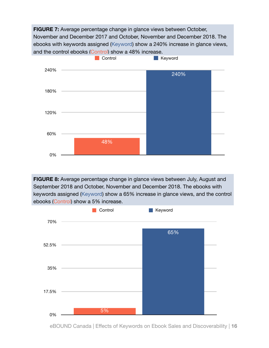**FIGURE 7:** Average percentage change in glance views between October, November and December 2017 and October, November and December 2018. The ebooks with keywords assigned (Keyword) show a 240% increase in glance views, and the control ebooks (Control) show a 48% increase.



**FIGURE 8:** Average percentage change in glance views between July, August and September 2018 and October, November and December 2018. The ebooks with keywords assigned (Keyword) show a 65% increase in glance views, and the control ebooks (Control) show a 5% increase.



eBOUND Canada | Effects of Keywords on Ebook Sales and Discoverability | **16**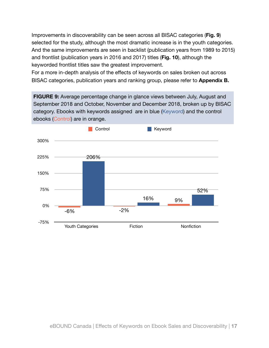Improvements in discoverability can be seen across all BISAC categories (**Fig. 9**) selected for the study, although the most dramatic increase is in the youth categories. And the same improvements are seen in backlist (publication years from 1989 to 2015) and frontlist (publication years in 2016 and 2017) titles (**Fig. 10**), although the keyworded frontlist titles saw the greatest improvement.

For a more in-depth analysis of the effects of keywords on sales broken out across BISAC categories, publication years and ranking group, please refer to **Appendix B.** 

**FIGURE 9:** Average percentage change in glance views between July, August and September 2018 and October, November and December 2018, broken up by BISAC category. Ebooks with keywords assigned are in blue (Keyword) and the control ebooks (Control) are in orange.

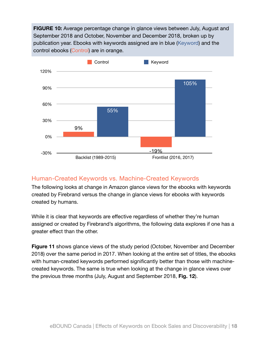**FIGURE 10:** Average percentage change in glance views between July, August and September 2018 and October, November and December 2018, broken up by publication year. Ebooks with keywords assigned are in blue (Keyword) and the control ebooks (Control) are in orange.



### Human-Created Keywords vs. Machine-Created Keywords

The following looks at change in Amazon glance views for the ebooks with keywords created by Firebrand versus the change in glance views for ebooks with keywords created by humans.

While it is clear that keywords are effective regardless of whether they're human assigned or created by Firebrand's algorithms, the following data explores if one has a greater effect than the other.

**Figure 11** shows glance views of the study period (October, November and December 2018) over the same period in 2017. When looking at the entire set of titles, the ebooks with human-created keywords performed significantly better than those with machinecreated keywords. The same is true when looking at the change in glance views over the previous three months (July, August and September 2018, **Fig. 12**).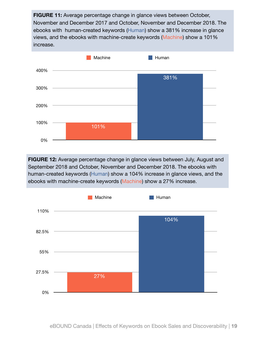**FIGURE 11:** Average percentage change in glance views between October, November and December 2017 and October, November and December 2018. The ebooks with human-created keywords (Human) show a 381% increase in glance views, and the ebooks with machine-create keywords (Machine) show a 101% increase.



**FIGURE 12:** Average percentage change in glance views between July, August and September 2018 and October, November and December 2018. The ebooks with human-created keywords (Human) show a 104% increase in glance views, and the ebooks with machine-create keywords (Machine) show a 27% increase.



eBOUND Canada | Effects of Keywords on Ebook Sales and Discoverability | **19**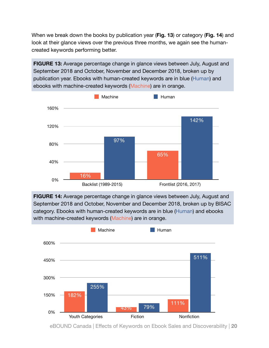When we break down the books by publication year (**Fig. 13**) or category (**Fig. 14**) and look at their glance views over the previous three months, we again see the humancreated keywords performing better.

**FIGURE 13:** Average percentage change in glance views between July, August and September 2018 and October, November and December 2018, broken up by publication year. Ebooks with human-created keywords are in blue (Human) and ebooks with machine-created keywords (Machine) are in orange.



**FIGURE 14:** Average percentage change in glance views between July, August and September 2018 and October, November and December 2018, broken up by BISAC category. Ebooks with human-created keywords are in blue (Human) and ebooks with machine-created keywords (Machine) are in orange.



eBOUND Canada | Effects of Keywords on Ebook Sales and Discoverability | **20**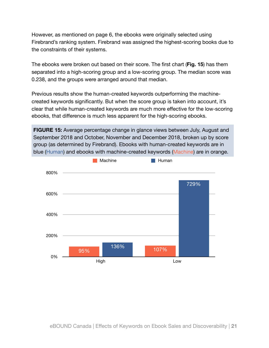However, as mentioned on page 6, the ebooks were originally selected using Firebrand's ranking system. Firebrand was assigned the highest-scoring books due to the constraints of their systems.

The ebooks were broken out based on their score. The first chart (**Fig. 15**) has them separated into a high-scoring group and a low-scoring group. The median score was 0.238, and the groups were arranged around that median.

Previous results show the human-created keywords outperforming the machinecreated keywords significantly. But when the score group is taken into account, it's clear that while human-created keywords are much more effective for the low-scoring ebooks, that difference is much less apparent for the high-scoring ebooks.

**FIGURE 15:** Average percentage change in glance views between July, August and September 2018 and October, November and December 2018, broken up by score group (as determined by Firebrand). Ebooks with human-created keywords are in blue (Human) and ebooks with machine-created keywords (Machine) are in orange.

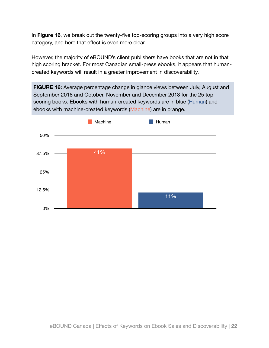In **Figure 16**, we break out the twenty-five top-scoring groups into a very high score category, and here that effect is even more clear.

However, the majority of eBOUND's client publishers have books that are not in that high scoring bracket. For most Canadian small-press ebooks, it appears that humancreated keywords will result in a greater improvement in discoverability.

**FIGURE 16:** Average percentage change in glance views between July, August and September 2018 and October, November and December 2018 for the 25 topscoring books. Ebooks with human-created keywords are in blue (Human) and ebooks with machine-created keywords (Machine) are in orange.

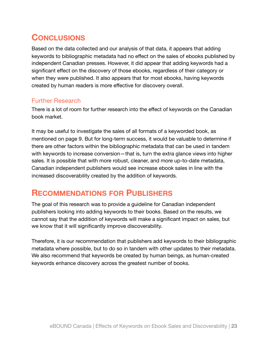# <span id="page-22-0"></span>**CONCLUSIONS**

Based on the data collected and our analysis of that data, it appears that adding keywords to bibliographic metadata had no effect on the sales of ebooks published by independent Canadian presses. However, it did appear that adding keywords had a significant effect on the discovery of those ebooks, regardless of their category or when they were published. It also appears that for most ebooks, having keywords created by human readers is more effective for discovery overall.

### Further Research

There is a lot of room for further research into the effect of keywords on the Canadian book market.

It may be useful to investigate the sales of all formats of a keyworded book, as mentioned on page 9. But for long-term success, it would be valuable to determine if there are other factors within the bibliographic metadata that can be used in tandem with keywords to increase conversion—that is, turn the extra glance views into higher sales. It is possible that with more robust, cleaner, and more up-to-date metadata, Canadian independent publishers would see increase ebook sales in line with the increased discoverability created by the addition of keywords.

### <span id="page-22-1"></span>**RECOMMENDATIONS FOR PUBLISHERS**

The goal of this research was to provide a guideline for Canadian independent publishers looking into adding keywords to their books. Based on the results, we cannot say that the addition of keywords will make a significant impact on sales, but we know that it will significantly improve discoverability.

Therefore, it is our recommendation that publishers add keywords to their bibliographic metadata where possible, but to do so in tandem with other updates to their metadata. We also recommend that keywords be created by human beings, as human-created keywords enhance discovery across the greatest number of books.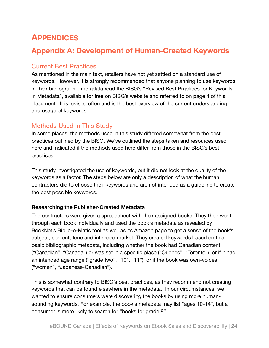# <span id="page-23-0"></span>**APPENDICES**

### <span id="page-23-1"></span>**Appendix A: Development of Human-Created Keywords**

### Current Best Practices

As mentioned in the main text, retailers have not yet settled on a standard use of keywords. However, it is strongly recommended that anyone planning to use keywords in their bibliographic metadata read the BISG's "Revised Best Practices for Keywords in Metadata", available for free on BISG's website and referred to on page 4 of this document. It is revised often and is the best overview of the current understanding and usage of keywords.

### Methods Used in This Study

In some places, the methods used in this study differed somewhat from the best practices outlined by the BISG. We've outlined the steps taken and resources used here and indicated if the methods used here differ from those in the BISG's bestpractices.

This study investigated the use of keywords, but it did not look at the quality of the keywords as a factor. The steps below are only a description of what the human contractors did to choose their keywords and are not intended as a guideline to create the best possible keywords.

#### **Researching the Publisher-Created Metadata**

The contractors were given a spreadsheet with their assigned books. They then went through each book individually and used the book's metadata as revealed by BookNet's Biblio-o-Matic tool as well as its Amazon page to get a sense of the book's subject, content, tone and intended market. They created keywords based on this basic bibliographic metadata, including whether the book had Canadian content ("Canadian", "Canada") or was set in a specific place ("Quebec", "Toronto"), or if it had an intended age range ("grade two", "10", "11"), or if the book was own-voices ("women", "Japanese-Canadian").

This is somewhat contrary to BISG's best practices, as they recommend not creating keywords that can be found elsewhere in the metadata. In our circumstances, we wanted to ensure consumers were discovering the books by using more humansounding keywords. For example, the book's metadata may list "ages 10-14", but a consumer is more likely to search for "books for grade 8".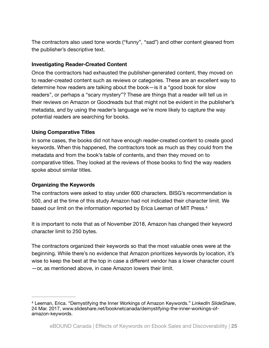The contractors also used tone words ("funny", "sad") and other content gleaned from the publisher's descriptive text.

#### **Investigating Reader-Created Content**

Once the contractors had exhausted the publisher-generated content, they moved on to reader-created content such as reviews or categories. These are an excellent way to determine how readers are talking about the book—is it a "good book for slow readers", or perhaps a "scary mystery"? These are things that a reader will tell us in their reviews on Amazon or Goodreads but that might not be evident in the publisher's metadata, and by using the reader's language we're more likely to capture the way potential readers are searching for books.

#### **Using Comparative Titles**

In some cases, the books did not have enough reader-created content to create good keywords. When this happened, the contractors took as much as they could from the metadata and from the book's table of contents, and then they moved on to comparative titles. They looked at the reviews of those books to find the way readers spoke about similar titles.

#### **Organizing the Keywords**

<span id="page-24-1"></span>The contractors were asked to stay under 600 characters. BISG's recommendation is 500, and at the time of this study Amazon had not indicated their character limit. We based our limit on the information reported by Erica Leeman of MIT Press[.4](#page-24-0)

It is important to note that as of November 2018, Amazon has changed their keyword character limit to 250 bytes.

The contractors organized their keywords so that the most valuable ones were at the beginning. While there's no evidence that Amazon prioritizes keywords by location, it's wise to keep the best at the top in case a different vendor has a lower character count —or, as mentioned above, in case Amazon lowers their limit.

<span id="page-24-0"></span>Leeman, Erica. "Demystifying the Inner Workings of Amazon Keywords." *LinkedIn SlideShare*, [4](#page-24-1) 24 Mar. 2017, www.slideshare.net/booknetcanada/demystifying-the-inner-workings-ofamazon-keywords.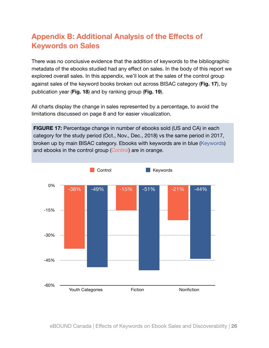# <span id="page-25-0"></span>**Appendix B: Additional Analysis of the Effects of Keywords on Sales**

There was no conclusive evidence that the addition of keywords to the bibliographic metadata of the ebooks studied had any effect on sales. In the body of this report we explored overall sales. In this appendix, we'll look at the sales of the control group against sales of the keyword books broken out across BISAC category (**Fig. 17**), by publication year (**Fig. 18**) and by ranking group (**Fig. 19**).

All charts display the change in sales represented by a percentage, to avoid the limitations discussed on page 8 and for easier visualization.

**FIGURE 17:** Percentage change in number of ebooks sold (US and CA) in each category for the study period (Oct., Nov., Dec., 2018) vs the same period in 2017, broken up by main BISAC category. Ebooks with keywords are in blue (Keywords) and ebooks in the control group (Control) are in orange.

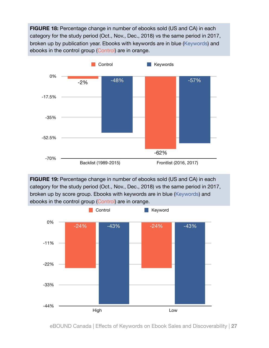**FIGURE 18:** Percentage change in number of ebooks sold (US and CA) in each category for the study period (Oct., Nov., Dec., 2018) vs the same period in 2017, broken up by publication year. Ebooks with keywords are in blue (Keywords) and ebooks in the control group (Control) are in orange.



**FIGURE 19:** Percentage change in number of ebooks sold (US and CA) in each category for the study period (Oct., Nov., Dec., 2018) vs the same period in 2017, broken up by score group. Ebooks with keywords are in blue (Keywords) and ebooks in the control group (Control) are in orange.



eBOUND Canada | Effects of Keywords on Ebook Sales and Discoverability | **27**